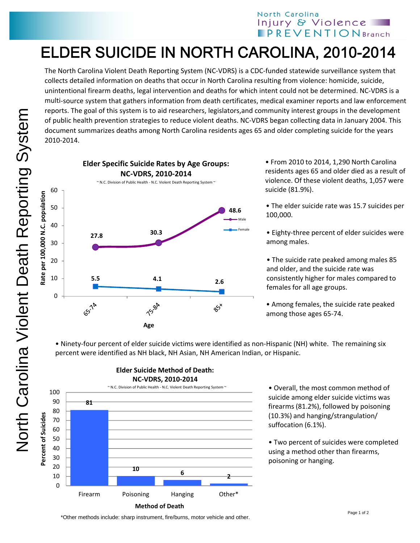## North Carolina Injury & Violence **IPREVENTIONBranch**

## ELDER SUICIDE IN NORTH CAROLINA, 2010-2014

The North Carolina Violent Death Reporting System (NC‐VDRS) is a CDC‐funded statewide surveillance system that collects detailed information on deaths that occur in North Carolina resulting from violence: homicide, suicide, unintentional firearm deaths, legal intervention and deaths for which intent could not be determined. NC‐VDRS is a multi‐source system that gathers information from death certificates, medical examiner reports and law enforcement reports. The goal of this system is to aid researchers, legislators,and community interest groups in the development of public health prevention strategies to reduce violent deaths. NC‐VDRS began collecting data in January 2004. This document summarizes deaths among North Carolina residents ages 65 and older completing suicide for the years 2010‐2014.



• From 2010 to 2014, 1,290 North Carolina residents ages 65 and older died as a result of violence. Of these violent deaths, 1,057 were suicide (81.9%).

• The elder suicide rate was 15.7 suicides per 100,000.

• Eighty‐three percent of elder suicides were among males.

• The suicide rate peaked among males 85 and older, and the suicide rate was consistently higher for males compared to females for all age groups.

• Among females, the suicide rate peaked among those ages 65‐74.

• Ninety‐four percent of elder suicide victims were identified as non‐Hispanic (NH) white. The remaining six percent were identified as NH black, NH Asian, NH American Indian, or Hispanic.



**Elder Suicide Method of Death:**

• Overall, the most common method of suicide among elder suicide victims was firearms (81.2%), followed by poisoning (10.3%) and hanging/strangulation/ suffocation (6.1%).

• Two percent of suicides were completed using a method other than firearms, poisoning or hanging.

\*Other methods include: sharp instrument, fire/burns, motor vehicle and other.